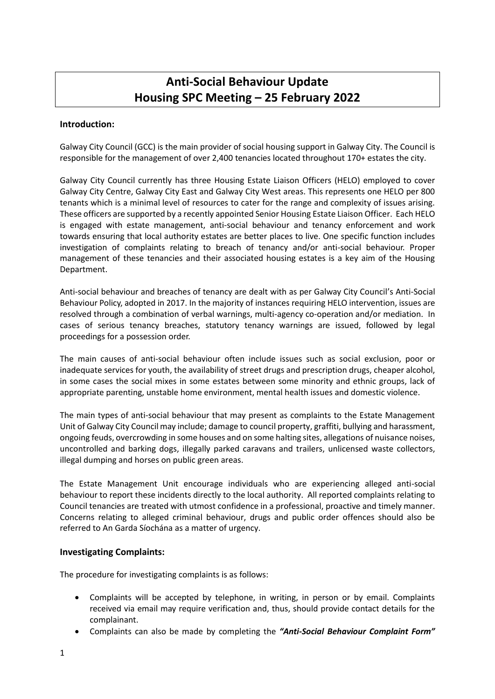# **Anti-Social Behaviour Update Housing SPC Meeting – 25 February 2022**

## **Introduction:**

Galway City Council (GCC) is the main provider of social housing support in Galway City. The Council is responsible for the management of over 2,400 tenancies located throughout 170+ estates the city.

Galway City Council currently has three Housing Estate Liaison Officers (HELO) employed to cover Galway City Centre, Galway City East and Galway City West areas. This represents one HELO per 800 tenants which is a minimal level of resources to cater for the range and complexity of issues arising. These officers are supported by a recently appointed Senior Housing Estate Liaison Officer. Each HELO is engaged with estate management, anti-social behaviour and tenancy enforcement and work towards ensuring that local authority estates are better places to live. One specific function includes investigation of complaints relating to breach of tenancy and/or anti-social behaviour. Proper management of these tenancies and their associated housing estates is a key aim of the Housing Department.

Anti-social behaviour and breaches of tenancy are dealt with as per Galway City Council's Anti-Social Behaviour Policy, adopted in 2017. In the majority of instances requiring HELO intervention, issues are resolved through a combination of verbal warnings, multi-agency co-operation and/or mediation. In cases of serious tenancy breaches, statutory tenancy warnings are issued, followed by legal proceedings for a possession order.

The main causes of anti-social behaviour often include issues such as social exclusion, poor or inadequate services for youth, the availability of street drugs and prescription drugs, cheaper alcohol, in some cases the social mixes in some estates between some minority and ethnic groups, lack of appropriate parenting, unstable home environment, mental health issues and domestic violence.

The main types of anti-social behaviour that may present as complaints to the Estate Management Unit of Galway City Council may include; damage to council property, graffiti, bullying and harassment, ongoing feuds, overcrowding in some houses and on some halting sites, allegations of nuisance noises, uncontrolled and barking dogs, illegally parked caravans and trailers, unlicensed waste collectors, illegal dumping and horses on public green areas.

The Estate Management Unit encourage individuals who are experiencing alleged anti-social behaviour to report these incidents directly to the local authority. All reported complaints relating to Council tenancies are treated with utmost confidence in a professional, proactive and timely manner. Concerns relating to alleged criminal behaviour, drugs and public order offences should also be referred to An Garda Síochána as a matter of urgency.

#### **Investigating Complaints:**

The procedure for investigating complaints is as follows:

- Complaints will be accepted by telephone, in writing, in person or by email. Complaints received via email may require verification and, thus, should provide contact details for the complainant.
- Complaints can also be made by completing the *"Anti-Social Behaviour Complaint Form"*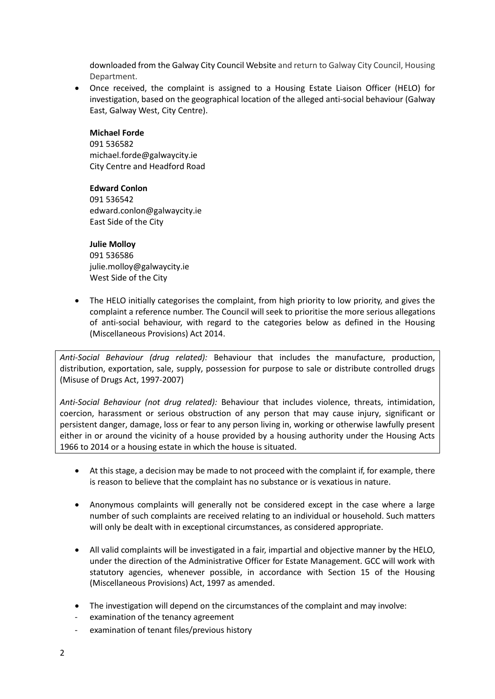downloaded from the Galway City Council Website and return to Galway City Council, Housing Department.

 Once received, the complaint is assigned to a Housing Estate Liaison Officer (HELO) for investigation, based on the geographical location of the alleged anti-social behaviour (Galway East, Galway West, City Centre).

#### **Michael Forde**

091 536582 michael.forde@galwaycity.ie City Centre and Headford Road

## **Edward Conlon**

091 536542 edward.conlon@galwaycity.ie East Side of the City

## **Julie Molloy**

091 536586 julie.molloy@galwaycity.ie West Side of the City

 The HELO initially categorises the complaint, from high priority to low priority, and gives the complaint a reference number. The Council will seek to prioritise the more serious allegations of anti-social behaviour, with regard to the categories below as defined in the Housing (Miscellaneous Provisions) Act 2014.

*Anti-Social Behaviour (drug related):* Behaviour that includes the manufacture, production, distribution, exportation, sale, supply, possession for purpose to sale or distribute controlled drugs (Misuse of Drugs Act, 1997-2007)

*Anti-Social Behaviour (not drug related):* Behaviour that includes violence, threats, intimidation, coercion, harassment or serious obstruction of any person that may cause injury, significant or persistent danger, damage, loss or fear to any person living in, working or otherwise lawfully present either in or around the vicinity of a house provided by a housing authority under the Housing Acts 1966 to 2014 or a housing estate in which the house is situated.

- At this stage, a decision may be made to not proceed with the complaint if, for example, there is reason to believe that the complaint has no substance or is vexatious in nature.
- Anonymous complaints will generally not be considered except in the case where a large number of such complaints are received relating to an individual or household. Such matters will only be dealt with in exceptional circumstances, as considered appropriate.
- All valid complaints will be investigated in a fair, impartial and objective manner by the HELO, under the direction of the Administrative Officer for Estate Management. GCC will work with statutory agencies, whenever possible, in accordance with Section 15 of the Housing (Miscellaneous Provisions) Act, 1997 as amended.
- The investigation will depend on the circumstances of the complaint and may involve:
- examination of the tenancy agreement
- examination of tenant files/previous history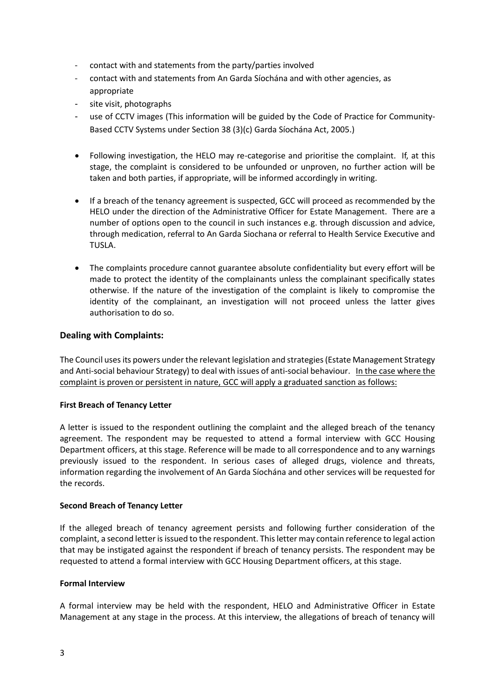- contact with and statements from the party/parties involved
- contact with and statements from An Garda Síochána and with other agencies, as appropriate
- site visit, photographs
- use of CCTV images (This information will be guided by the Code of Practice for Community-Based CCTV Systems under Section 38 (3)(c) Garda Síochána Act, 2005.)
- Following investigation, the HELO may re-categorise and prioritise the complaint. If, at this stage, the complaint is considered to be unfounded or unproven, no further action will be taken and both parties, if appropriate, will be informed accordingly in writing.
- If a breach of the tenancy agreement is suspected, GCC will proceed as recommended by the HELO under the direction of the Administrative Officer for Estate Management. There are a number of options open to the council in such instances e.g. through discussion and advice, through medication, referral to An Garda Siochana or referral to Health Service Executive and TUSLA.
- The complaints procedure cannot guarantee absolute confidentiality but every effort will be made to protect the identity of the complainants unless the complainant specifically states otherwise. If the nature of the investigation of the complaint is likely to compromise the identity of the complainant, an investigation will not proceed unless the latter gives authorisation to do so.

## **Dealing with Complaints:**

The Council uses its powers under the relevant legislation and strategies (Estate Management Strategy and Anti-social behaviour Strategy) to deal with issues of anti-social behaviour. In the case where the complaint is proven or persistent in nature, GCC will apply a graduated sanction as follows:

#### **First Breach of Tenancy Letter**

A letter is issued to the respondent outlining the complaint and the alleged breach of the tenancy agreement. The respondent may be requested to attend a formal interview with GCC Housing Department officers, at this stage. Reference will be made to all correspondence and to any warnings previously issued to the respondent. In serious cases of alleged drugs, violence and threats, information regarding the involvement of An Garda Síochána and other services will be requested for the records.

#### **Second Breach of Tenancy Letter**

If the alleged breach of tenancy agreement persists and following further consideration of the complaint, a second letter is issued to the respondent. This letter may contain reference to legal action that may be instigated against the respondent if breach of tenancy persists. The respondent may be requested to attend a formal interview with GCC Housing Department officers, at this stage.

#### **Formal Interview**

A formal interview may be held with the respondent, HELO and Administrative Officer in Estate Management at any stage in the process. At this interview, the allegations of breach of tenancy will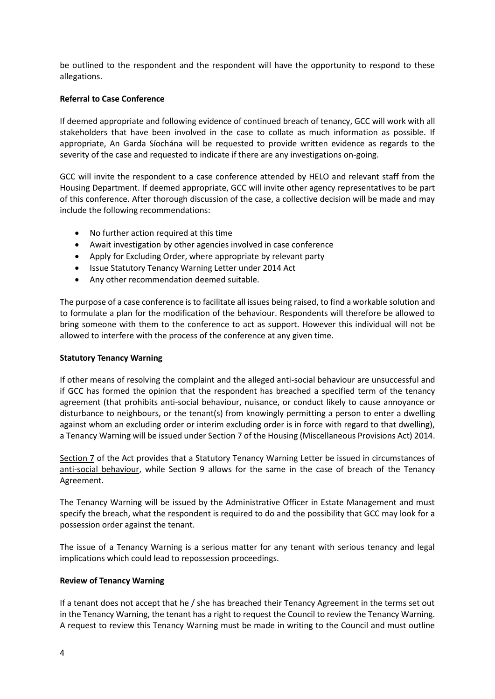be outlined to the respondent and the respondent will have the opportunity to respond to these allegations.

#### **Referral to Case Conference**

If deemed appropriate and following evidence of continued breach of tenancy, GCC will work with all stakeholders that have been involved in the case to collate as much information as possible. If appropriate, An Garda Síochána will be requested to provide written evidence as regards to the severity of the case and requested to indicate if there are any investigations on-going.

GCC will invite the respondent to a case conference attended by HELO and relevant staff from the Housing Department. If deemed appropriate, GCC will invite other agency representatives to be part of this conference. After thorough discussion of the case, a collective decision will be made and may include the following recommendations:

- No further action required at this time
- Await investigation by other agencies involved in case conference
- Apply for Excluding Order, where appropriate by relevant party
- Issue Statutory Tenancy Warning Letter under 2014 Act
- Any other recommendation deemed suitable.

The purpose of a case conference is to facilitate all issues being raised, to find a workable solution and to formulate a plan for the modification of the behaviour. Respondents will therefore be allowed to bring someone with them to the conference to act as support. However this individual will not be allowed to interfere with the process of the conference at any given time.

#### **Statutory Tenancy Warning**

If other means of resolving the complaint and the alleged anti-social behaviour are unsuccessful and if GCC has formed the opinion that the respondent has breached a specified term of the tenancy agreement (that prohibits anti-social behaviour, nuisance, or conduct likely to cause annoyance or disturbance to neighbours, or the tenant(s) from knowingly permitting a person to enter a dwelling against whom an excluding order or interim excluding order is in force with regard to that dwelling), a Tenancy Warning will be issued under Section 7 of the Housing (Miscellaneous Provisions Act) 2014.

Section 7 of the Act provides that a Statutory Tenancy Warning Letter be issued in circumstances of anti-social behaviour, while Section 9 allows for the same in the case of breach of the Tenancy Agreement.

The Tenancy Warning will be issued by the Administrative Officer in Estate Management and must specify the breach, what the respondent is required to do and the possibility that GCC may look for a possession order against the tenant.

The issue of a Tenancy Warning is a serious matter for any tenant with serious tenancy and legal implications which could lead to repossession proceedings.

#### **Review of Tenancy Warning**

If a tenant does not accept that he / she has breached their Tenancy Agreement in the terms set out in the Tenancy Warning, the tenant has a right to request the Council to review the Tenancy Warning. A request to review this Tenancy Warning must be made in writing to the Council and must outline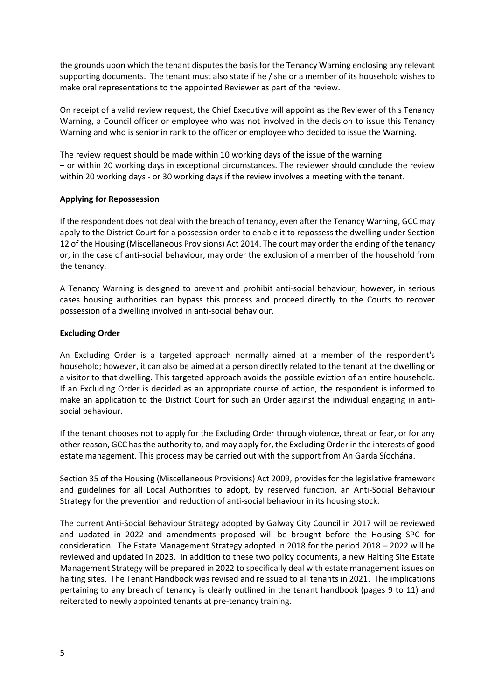the grounds upon which the tenant disputes the basis for the Tenancy Warning enclosing any relevant supporting documents. The tenant must also state if he / she or a member of its household wishes to make oral representations to the appointed Reviewer as part of the review.

On receipt of a valid review request, the Chief Executive will appoint as the Reviewer of this Tenancy Warning, a Council officer or employee who was not involved in the decision to issue this Tenancy Warning and who is senior in rank to the officer or employee who decided to issue the Warning.

The review request should be made within 10 working days of the issue of the warning – or within 20 working days in exceptional circumstances. The reviewer should conclude the review within 20 working days - or 30 working days if the review involves a meeting with the tenant.

## **Applying for Repossession**

If the respondent does not deal with the breach of tenancy, even after the Tenancy Warning, GCC may apply to the District Court for a possession order to enable it to repossess the dwelling under Section 12 of the Housing (Miscellaneous Provisions) Act 2014. The court may order the ending of the tenancy or, in the case of anti-social behaviour, may order the exclusion of a member of the household from the tenancy.

A Tenancy Warning is designed to prevent and prohibit anti-social behaviour; however, in serious cases housing authorities can bypass this process and proceed directly to the Courts to recover possession of a dwelling involved in anti-social behaviour.

## **Excluding Order**

An Excluding Order is a targeted approach normally aimed at a member of the respondent's household; however, it can also be aimed at a person directly related to the tenant at the dwelling or a visitor to that dwelling. This targeted approach avoids the possible eviction of an entire household. If an Excluding Order is decided as an appropriate course of action, the respondent is informed to make an application to the District Court for such an Order against the individual engaging in antisocial behaviour.

If the tenant chooses not to apply for the Excluding Order through violence, threat or fear, or for any other reason, GCC has the authority to, and may apply for, the Excluding Order in the interests of good estate management. This process may be carried out with the support from An Garda Síochána.

Section 35 of the Housing (Miscellaneous Provisions) Act 2009, provides for the legislative framework and guidelines for all Local Authorities to adopt, by reserved function, an Anti-Social Behaviour Strategy for the prevention and reduction of anti-social behaviour in its housing stock.

The current Anti-Social Behaviour Strategy adopted by Galway City Council in 2017 will be reviewed and updated in 2022 and amendments proposed will be brought before the Housing SPC for consideration. The Estate Management Strategy adopted in 2018 for the period 2018 – 2022 will be reviewed and updated in 2023. In addition to these two policy documents, a new Halting Site Estate Management Strategy will be prepared in 2022 to specifically deal with estate management issues on halting sites. The Tenant Handbook was revised and reissued to all tenants in 2021. The implications pertaining to any breach of tenancy is clearly outlined in the tenant handbook (pages 9 to 11) and reiterated to newly appointed tenants at pre-tenancy training.